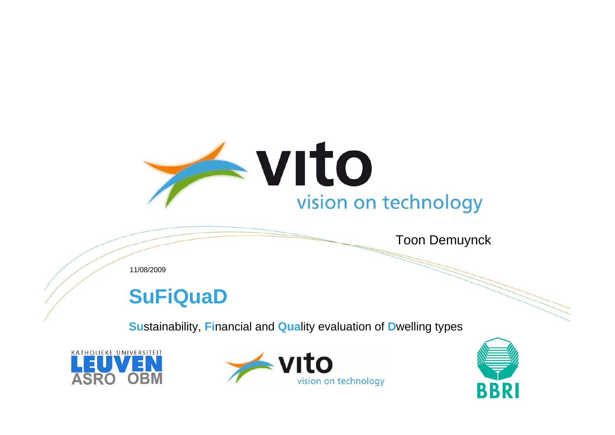

Toon Demuynck

11/08/2009

#### **SuFiQuaD**

**Su**stainability, **Fi**nancial and **Qua**lity evaluation of **D**welling types





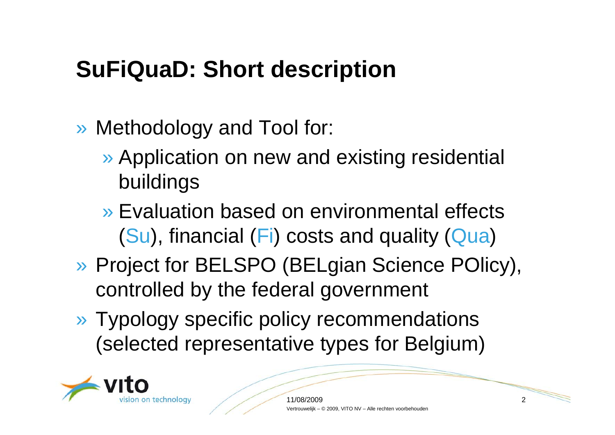#### **SuFiQuaD: Short description**

- » Methodology and Tool for:
	- » Application on new and existing residential buildings
	- » Evaluation based on environmental effects (Su), financial (Fi) costs and quality (Qua)
- » Project for BELSPO (BELgian Science POlicy), controlled by the federal government
- » Typology specific policy recommendations (selected representative types for Belgium)

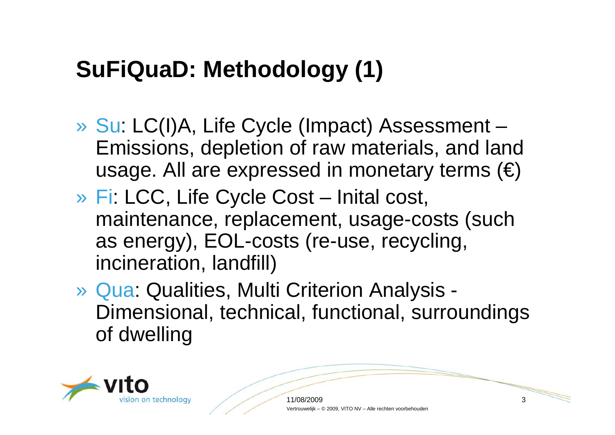## **SuFiQuaD: Methodology (1)**

- » Su: LC(I)A, Life Cycle (Impact) Assessment Emissions, depletion of raw materials, and land usage. All are expressed in monetary terms  $(\epsilon)$
- » Fi: LCC, Life Cycle Cost Inital cost, maintenance, replacement, usage-costs (such as energy), EOL-costs (re-use, recycling, incineration, landfill)
- » Qua: Qualities, Multi Criterion Analysis Dimensional, technical, functional, surroundings of dwelling



11/08/2009 3 Vertrouwelijk – © 2009, VITO NV – Alle rechten voorbehouden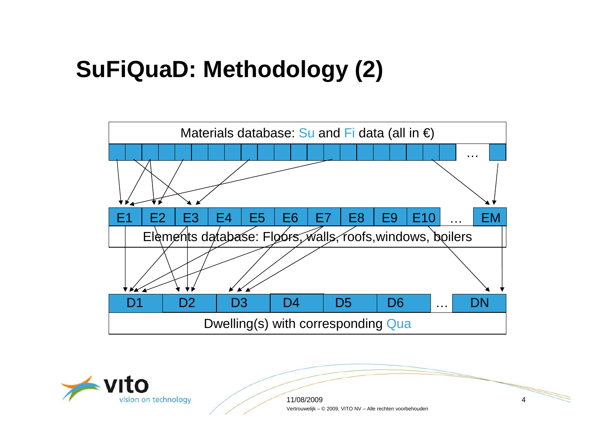## **SuFiQuaD: Methodology (2)**





11/08/2009 $9 \hspace{2.5cm} 4$ Vertrouwelijk – © 2009, VITO NV – Alle rechten voorbehouden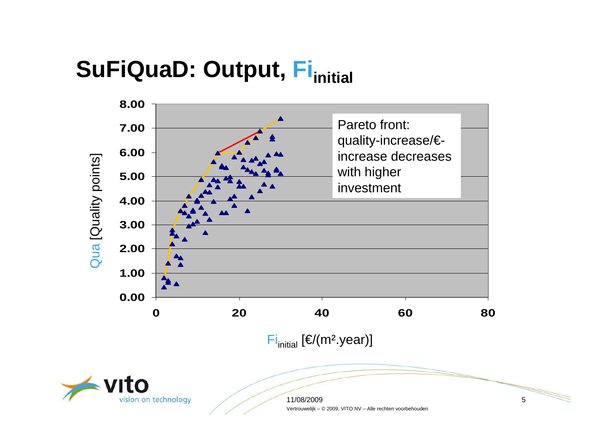## **SuFiQuaD: Output, Fi**<sub>initial</sub>





11/08/2009 $9 \hspace{2.5cm} 5$ Vertrouwelijk – © 2009, VITO NV – Alle rechten voorbehouden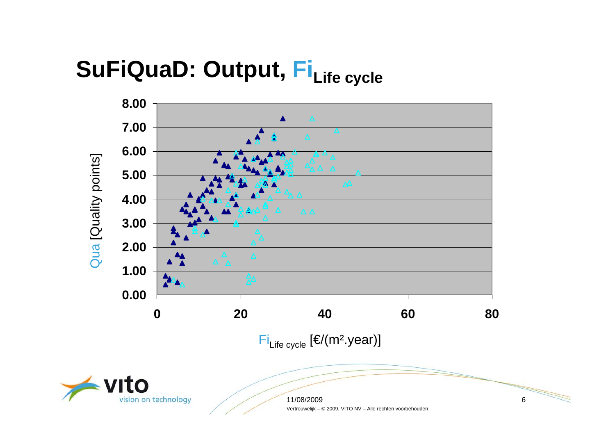# SuFiQuaD: Output, FiLife cycle



11/08/2009 6 Vertrouwelijk – © 2009, VITO NV – Alle rechten voorbehouden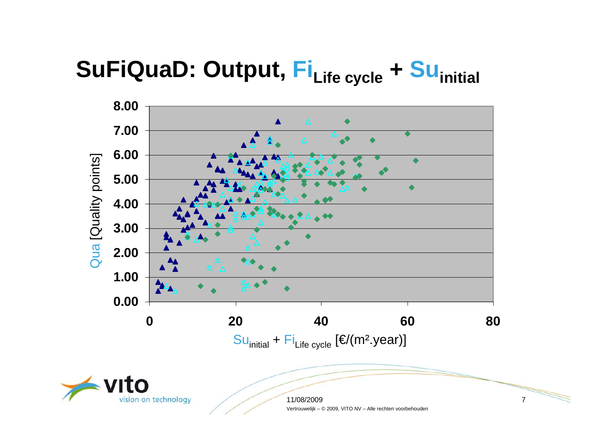## **SuFiQuaD: Output, Fi**Life cycle + Su<sub>initial</sub>



Vertrouwelijk – © 2009, VITO NV – Alle rechten voorbehouden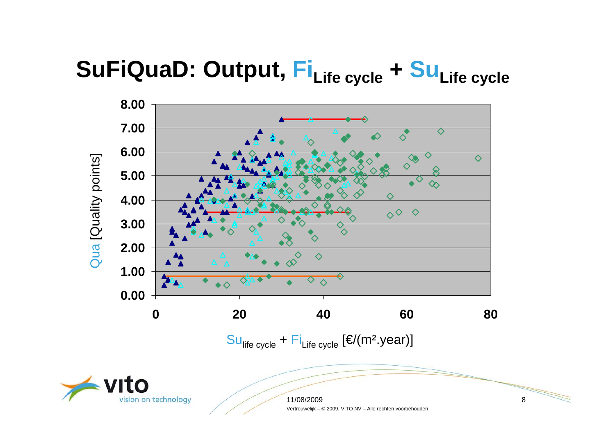# SuFiQuaD: Output, Fi<sub>Life cycle</sub> + Su<sub>Life cycle</sub>





11/08/2009 8 Vertrouwelijk – © 2009, VITO NV – Alle rechten voorbehouden